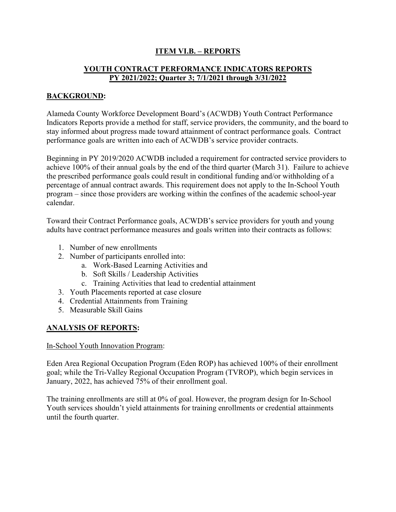# **ITEM VI.B. – REPORTS**

# **YOUTH CONTRACT PERFORMANCE INDICATORS REPORTS PY 2021/2022; Quarter 3; 7/1/2021 through 3/31/2022**

### **BACKGROUND:**

Alameda County Workforce Development Board's (ACWDB) Youth Contract Performance Indicators Reports provide a method for staff, service providers, the community, and the board to stay informed about progress made toward attainment of contract performance goals. Contract performance goals are written into each of ACWDB's service provider contracts.

Beginning in PY 2019/2020 ACWDB included a requirement for contracted service providers to achieve 100% of their annual goals by the end of the third quarter (March 31). Failure to achieve the prescribed performance goals could result in conditional funding and/or withholding of a percentage of annual contract awards. This requirement does not apply to the In-School Youth program – since those providers are working within the confines of the academic school-year calendar.

Toward their Contract Performance goals, ACWDB's service providers for youth and young adults have contract performance measures and goals written into their contracts as follows:

- 1. Number of new enrollments
- 2. Number of participants enrolled into:
	- a. Work-Based Learning Activities and
	- b. Soft Skills / Leadership Activities
	- c. Training Activities that lead to credential attainment
- 3. Youth Placements reported at case closure
- 4. Credential Attainments from Training
- 5. Measurable Skill Gains

#### **ANALYSIS OF REPORTS:**

#### In-School Youth Innovation Program:

Eden Area Regional Occupation Program (Eden ROP) has achieved 100% of their enrollment goal; while the Tri-Valley Regional Occupation Program (TVROP), which begin services in January, 2022, has achieved 75% of their enrollment goal.

The training enrollments are still at 0% of goal. However, the program design for In-School Youth services shouldn't yield attainments for training enrollments or credential attainments until the fourth quarter.